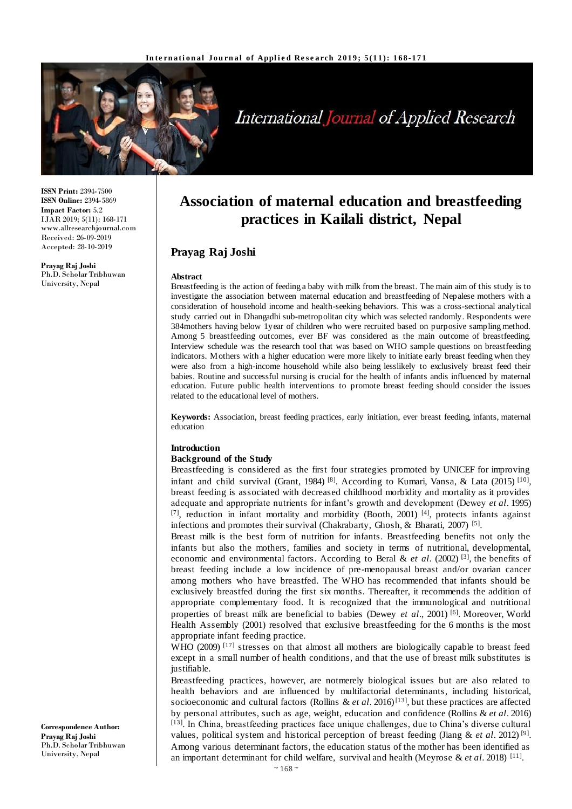

# International Journal of Applied Research

**ISSN Print:** 2394-7500 **ISSN Online:** 2394-5869 **Impact Factor:** 5.2 IJAR 2019; 5(11): 168-171 www.allresearchjournal.com Received: 26-09-2019 Accepted: 28-10-2019

**Prayag Raj Joshi** Ph.D. Scholar Tribhuwan University, Nepal

# **Association of maternal education and breastfeeding practices in Kailali district, Nepal**

# **Prayag Raj Joshi**

#### **Abstract**

Breastfeeding is the action of feeding a baby with milk from the breast. The main aim of this study is to investigate the association between maternal education and breastfeeding of Nepalese mothers with a consideration of household income and health-seeking behaviors. This was a cross-sectional analytical study carried out in Dhangadhi sub-metropolitan city which was selected randomly. Respondents were 384mothers having below 1year of children who were recruited based on purposive sampling method. Among 5 breastfeeding outcomes, ever BF was considered as the main outcome of breastfeeding. Interview schedule was the research tool that was based on WHO sample questions on breastfeeding indicators. Mothers with a higher education were more likely to initiate early breast feeding when they were also from a high-income household while also being lesslikely to exclusively breast feed their babies. Routine and successful nursing is crucial for the health of infants andis influenced by maternal education. Future public health interventions to promote breast feeding should consider the issues related to the educational level of mothers.

**Keywords:** Association, breast feeding practices, early initiation, ever breast feeding, infants, maternal education

#### **Introduction**

#### **Background of the Study**

Breastfeeding is considered as the first four strategies promoted by UNICEF for improving infant and child survival (Grant, 1984)<sup>[8]</sup>. According to Kumari, Vansa, & Lata (2015)<sup>[10]</sup>, breast feeding is associated with decreased childhood morbidity and mortality as it provides adequate and appropriate nutrients for infant's growth and development (Dewey *et al*. 1995) [7], reduction in infant mortality and morbidity (Booth, 2001)<sup>[4]</sup>, protects infants against infections and promotes their survival (Chakrabarty, Ghosh, & Bharati, 2007)<sup>[5]</sup>.

Breast milk is the best form of nutrition for infants. Breastfeeding benefits not only the infants but also the mothers, families and society in terms of nutritional, developmental, economic and environmental factors. According to Beral & *et al*. (2002) [3] , the benefits of breast feeding include a low incidence of pre-menopausal breast and/or ovarian cancer among mothers who have breastfed. The WHO has recommended that infants should be exclusively breastfed during the first six months. Thereafter, it recommends the addition of appropriate complementary food. It is recognized that the immunological and nutritional properties of breast milk are beneficial to babies (Dewey *et al*., 2001) [6] . Moreover, World Health Assembly (2001) resolved that exclusive breastfeeding for the 6 months is the most appropriate infant feeding practice.

WHO (2009)<sup>[17]</sup> stresses on that almost all mothers are biologically capable to breast feed except in a small number of health conditions, and that the use of breast milk substitutes is justifiable.

Breastfeeding practices, however, are notmerely biological issues but are also related to health behaviors and are influenced by multifactorial determinants, including historical, socioeconomic and cultural factors (Rollins & *et al.* 2016)<sup>[13]</sup>, but these practices are affected by personal attributes, such as age, weight, education and confidence (Rollins & *et al*. 2016) [13]. In China, breastfeeding practices face unique challenges, due to China's diverse cultural values, political system and historical perception of breast feeding (Jiang & et al. 2012)<sup>[9]</sup>. Among various determinant factors, the education status of the mother has been identified as an important determinant for child welfare, survival and health (Meyrose & *et al*. 2018) [11] .

**Correspondence Author: Prayag Raj Joshi** Ph.D. Scholar Tribhuwan University, Nepal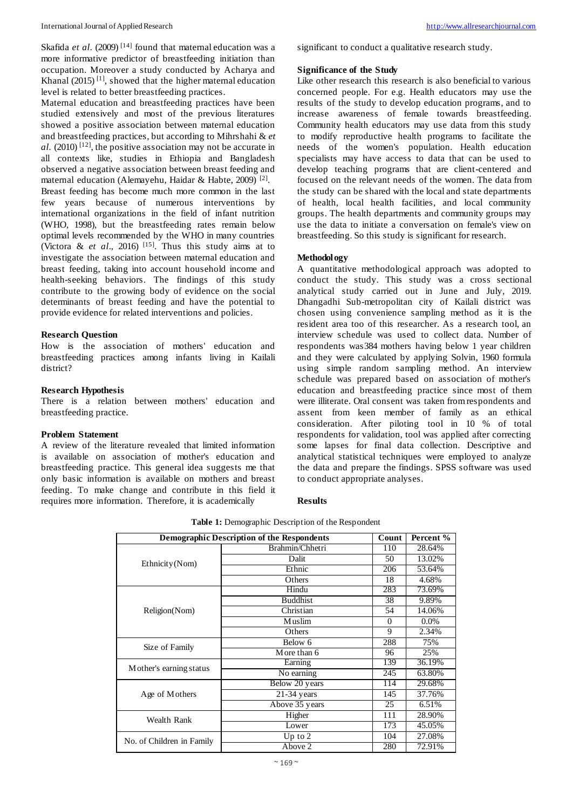#### International Journal of Applied Research [http://www.allresearchjournal.com](about:blank)

Maternal education and breastfeeding practices have been studied extensively and most of the previous literatures showed a positive association between maternal education and breastfeeding practices, but according to Mihrshahi & *et al.* (2010) [12] , the positive association may not be accurate in all contexts like, studies in Ethiopia and Bangladesh observed a negative association between breast feeding and maternal education (Alemayehu, Haidar & Habte, 2009) [2] . Breast feeding has become much more common in the last few years because of numerous interventions by international organizations in the field of infant nutrition (WHO, 1998), but the breastfeeding rates remain below optimal levels recommended by the WHO in many countries (Victora & *et al.*, 2016)<sup>[15]</sup>. Thus this study aims at to investigate the association between maternal education and breast feeding, taking into account household income and health-seeking behaviors. The findings of this study contribute to the growing body of evidence on the social determinants of breast feeding and have the potential to provide evidence for related interventions and policies.

#### **Research Question**

How is the association of mothers' education and breastfeeding practices among infants living in Kailali district?

#### **Research Hypothesis**

There is a relation between mothers' education and breastfeeding practice.

#### **Problem Statement**

A review of the literature revealed that limited information is available on association of mother's education and breastfeeding practice. This general idea suggests me that only basic information is available on mothers and breast feeding. To make change and contribute in this field it requires more information. Therefore, it is academically

significant to conduct a qualitative research study.

#### **Significance of the Study**

Like other research this research is also beneficial to various concerned people. For e.g. Health educators may use the results of the study to develop education programs, and to increase awareness of female towards breastfeeding. Community health educators may use data from this study to modify reproductive health programs to facilitate the needs of the women's population. Health education specialists may have access to data that can be used to develop teaching programs that are client-centered and focused on the relevant needs of the women. The data from the study can be shared with the local and state departments of health, local health facilities, and local community groups. The health departments and community groups may use the data to initiate a conversation on female's view on breastfeeding. So this study is significant for research.

#### **Methodology**

A quantitative methodological approach was adopted to conduct the study. This study was a cross sectional analytical study carried out in June and July, 2019. Dhangadhi Sub-metropolitan city of Kailali district was chosen using convenience sampling method as it is the resident area too of this researcher. As a research tool, an interview schedule was used to collect data. Number of respondents was384 mothers having below 1 year children and they were calculated by applying Solvin, 1960 formula using simple random sampling method. An interview schedule was prepared based on association of mother's education and breastfeeding practice since most of them were illiterate. Oral consent was taken from respondents and assent from keen member of family as an ethical consideration. After piloting tool in 10 % of total respondents for validation, tool was applied after correcting some lapses for final data collection. Descriptive and analytical statistical techniques were employed to analyze the data and prepare the findings. SPSS software was used to conduct appropriate analyses.

# **Results**

| <b>Demographic Description of the Respondents</b> |                 | Count    | Percent % |
|---------------------------------------------------|-----------------|----------|-----------|
| Ethnicity (Nom)                                   | Brahmin/Chhetri | 110      | 28.64%    |
|                                                   | Dalit           | 50       | 13.02%    |
|                                                   | Ethnic          | 206      | 53.64%    |
|                                                   | Others          | 18       | 4.68%     |
| Religion(Nom)                                     | Hindu           | 283      | 73.69%    |
|                                                   | <b>Buddhist</b> | 38       | 9.89%     |
|                                                   | Christian       | 54       | 14.06%    |
|                                                   | Muslim          | $\Omega$ | $0.0\%$   |
|                                                   | Others          | 9        | 2.34%     |
| Size of Family                                    | Below 6         | 288      | 75%       |
|                                                   | More than 6     | 96       | 25%       |
| Mother's earning status                           | Earning         | 139      | 36.19%    |
|                                                   | No earning      | 245      | 63.80%    |
| Age of Mothers                                    | Below 20 years  | 114      | 29.68%    |
|                                                   | $21-34$ years   | 145      | 37.76%    |
|                                                   | Above 35 years  | 25       | 6.51%     |
| Wealth Rank                                       | Higher          | 111      | 28.90%    |
|                                                   | Lower           | 173      | 45.05%    |
| No. of Children in Family                         | Up to $2$       | 104      | 27.08%    |
|                                                   | Above 2         | 280      | 72.91%    |

**Table 1:** Demographic Description of the Respondent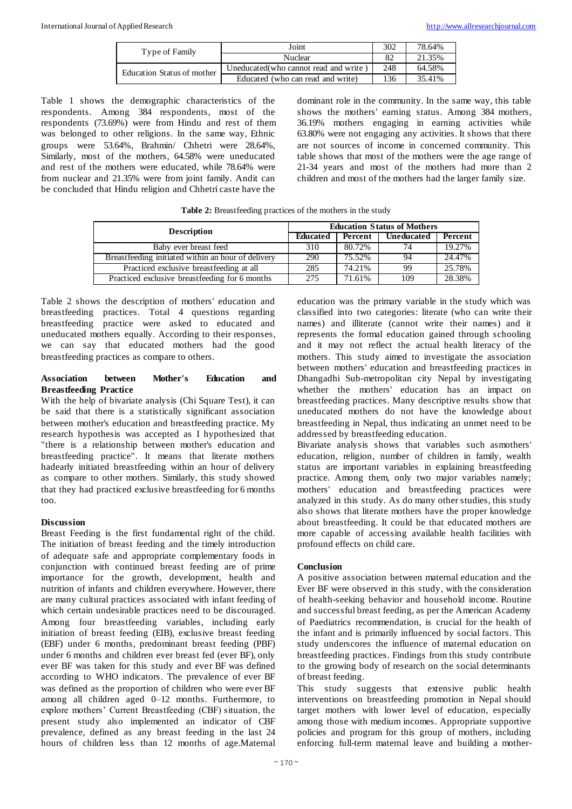| Type of Family             | Joint                                  | 302 | 78.64% |
|----------------------------|----------------------------------------|-----|--------|
|                            | Nuclear                                |     | 21.35% |
| Education Status of mother | Uneducated (who cannot read and write) | 248 | 64.58% |
|                            | Educated (who can read and write)      | 136 | 35.41% |

Table 1 shows the demographic characteristics of the respondents. Among 384 respondents, most of the respondents (73.69%) were from Hindu and rest of them was belonged to other religions. In the same way, Ethnic groups were 53.64%, Brahmin/ Chhetri were 28.64%, Similarly, most of the mothers, 64.58% were uneducated and rest of the mothers were educated, while 78.64% were from nuclear and 21.35% were from joint family. Andit can be concluded that Hindu religion and Chhetri caste have the

dominant role in the community. In the same way, this table shows the mothers' earning status. Among 384 mothers, 36.19% mothers engaging in earning activities while 63.80% were not engaging any activities. It shows that there are not sources of income in concerned community. This table shows that most of the mothers were the age range of 21-34 years and most of the mothers had more than 2 children and most of the mothers had the larger family size.

| <b>Description</b>                                 | <b>Education Status of Mothers</b> |         |                   |         |
|----------------------------------------------------|------------------------------------|---------|-------------------|---------|
|                                                    | Educated                           | Percent | <b>Uneducated</b> | Percent |
| Baby ever breast feed                              | 310                                | 80.72%  | 74                | 19.27%  |
| Breastfeeding initiated within an hour of delivery | 290                                | 75.52%  | 94                | 24.47%  |
| Practiced exclusive breastfeeding at all           | 285                                | 74.21%  | 99                | 25.78%  |
| Practiced exclusive breastfeeding for 6 months     | 275                                | 71.61%  | 109               | 28.38%  |

**Table 2:** Breastfeeding practices of the mothers in the study

Table 2 shows the description of mothers' education and breastfeeding practices. Total 4 questions regarding breastfeeding practice were asked to educated and uneducated mothers equally. According to their responses, we can say that educated mothers had the good breastfeeding practices as compare to others.

#### **Association between Mother's Education and Breastfeeding Practice**

With the help of bivariate analysis (Chi Square Test), it can be said that there is a statistically significant association between mother's education and breastfeeding practice. My research hypothesis was accepted as I hypothesized that "there is a relationship between mother's education and breastfeeding practice". It means that literate mothers hadearly initiated breastfeeding within an hour of delivery as compare to other mothers. Similarly, this study showed that they had practiced exclusive breastfeeding for 6 months too.

# **Discussion**

Breast Feeding is the first fundamental right of the child. The initiation of breast feeding and the timely introduction of adequate safe and appropriate complementary foods in conjunction with continued breast feeding are of prime importance for the growth, development, health and nutrition of infants and children everywhere. However, there are many cultural practices associated with infant feeding of which certain undesirable practices need to be discouraged. Among four breastfeeding variables, including early initiation of breast feeding (EIB), exclusive breast feeding (EBF) under 6 months, predominant breast feeding (PBF) under 6 months and children ever breast fed (ever BF), only ever BF was taken for this study and ever BF was defined according to WHO indicators. The prevalence of ever BF was defined as the proportion of children who were ever BF among all children aged 0–12 months. Furthermore, to explore mothers' Current Breastfeeding (CBF) situation, the present study also implemented an indicator of CBF prevalence, defined as any breast feeding in the last 24 hours of children less than 12 months of age.Maternal

education was the primary variable in the study which was classified into two categories: literate (who can write their names) and illiterate (cannot write their names) and it represents the formal education gained through schooling and it may not reflect the actual health literacy of the mothers. This study aimed to investigate the association between mothers' education and breastfeeding practices in Dhangadhi Sub-metropolitan city Nepal by investigating whether the mothers' education has an impact on breastfeeding practices. Many descriptive results show that uneducated mothers do not have the knowledge about breastfeeding in Nepal, thus indicating an unmet need to be addressed by breastfeeding education.

Bivariate analysis shows that variables such asmothers' education, religion, number of children in family, wealth status are important variables in explaining breastfeeding practice. Among them, only two major variables namely; mothers' education and breastfeeding practices were analyzed in this study. As do many other studies, this study also shows that literate mothers have the proper knowledge about breastfeeding. It could be that educated mothers are more capable of accessing available health facilities with profound effects on child care.

# **Conclusion**

A positive association between maternal education and the Ever BF were observed in this study, with the consideration of health-seeking behavior and household income. Routine and successful breast feeding, as per the American Academy of Paediatrics recommendation, is crucial for the health of the infant and is primarily influenced by social factors. This study underscores the influence of maternal education on breastfeeding practices. Findings from this study contribute to the growing body of research on the social determinants of breast feeding.

This study suggests that extensive public health interventions on breastfeeding promotion in Nepal should target mothers with lower level of education, especially among those with medium incomes. Appropriate supportive policies and program for this group of mothers, including enforcing full-term maternal leave and building a mother